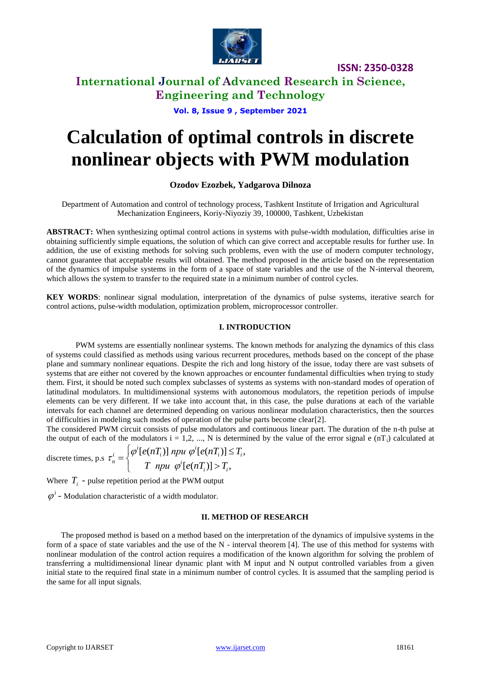

**International Journal of Advanced Research in Science, Engineering and Technology**

**Vol. 8, Issue 9 , September 2021**

# **Calculation of optimal controls in discrete nonlinear objects with PWM modulation**

### **Ozodov Ezozbek, Yadgarova Dilnoza**

Department of Automation and control of technology process, Tashkent Institute of Irrigation and Agricultural Mechanization Engineers, Koriy-Niyoziy 39, 100000, Tashkent, Uzbekistan

**ABSTRACT:** When synthesizing optimal control actions in systems with pulse-width modulation, difficulties arise in obtaining sufficiently simple equations, the solution of which can give correct and acceptable results for further use. In addition, the use of existing methods for solving such problems, even with the use of modern computer technology, cannot guarantee that acceptable results will obtained. The method proposed in the article based on the representation of the dynamics of impulse systems in the form of a space of state variables and the use of the N-interval theorem, which allows the system to transfer to the required state in a minimum number of control cycles.

**KEY WORDS**: nonlinear signal modulation, interpretation of the dynamics of pulse systems, iterative search for control actions, pulse-width modulation, optimization problem, microprocessor controller.

#### **I. INTRODUCTION**

PWM systems are essentially nonlinear systems. The known methods for analyzing the dynamics of this class of systems could classified as methods using various recurrent procedures, methods based on the concept of the phase plane and summary nonlinear equations. Despite the rich and long history of the issue, today there are vast subsets of systems that are either not covered by the known approaches or encounter fundamental difficulties when trying to study them. First, it should be noted such complex subclasses of systems as systems with non-standard modes of operation of latitudinal modulators. In multidimensional systems with autonomous modulators, the repetition periods of impulse elements can be very different. If we take into account that, in this case, the pulse durations at each of the variable intervals for each channel are determined depending on various nonlinear modulation characteristics, then the sources of difficulties in modeling such modes of operation of the pulse parts become clear[2].

The considered PWM circuit consists of pulse modulators and continuous linear part. The duration of the n-th pulse at the output of each of the modulators  $i = 1, 2, ..., N$  is determined by the value of the error signal e (nT<sub>i</sub>) calculated at

discrete times, p.s 
$$
\tau_n^i = \begin{cases} \varphi^i[e(nT_i)] \text{ npu } \varphi^i[e(nT_i)] \leq T_i, \\ T \text{ npu } \varphi^i[e(nT_i)] > T_i, \end{cases}
$$

Where  $T_i$  - pulse repetition period at the PWM output

 $\varphi^i$  - Modulation characteristic of a width modulator.

#### **II. METHOD OF RESEARCH**

The proposed method is based on a method based on the interpretation of the dynamics of impulsive systems in the form of a space of state variables and the use of the N - interval theorem [4]. The use of this method for systems with nonlinear modulation of the control action requires a modification of the known algorithm for solving the problem of transferring a multidimensional linear dynamic plant with M input and N output controlled variables from a given initial state to the required final state in a minimum number of control cycles. It is assumed that the sampling period is the same for all input signals.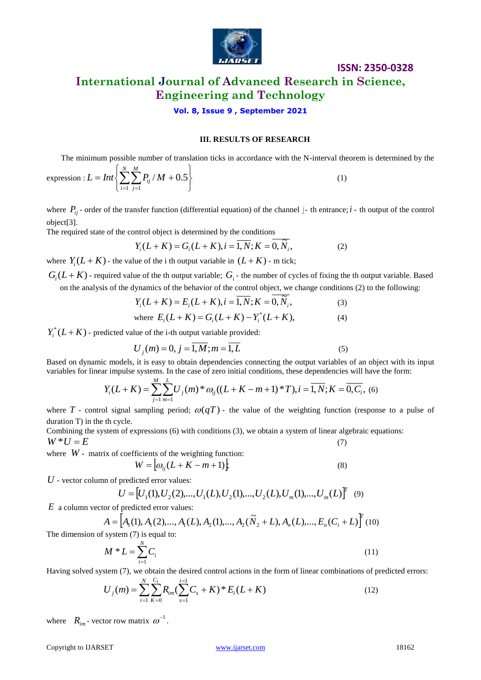

# **ISSN: 2350-0328 International Journal of Advanced Research in Science, Engineering and Technology**

### **Vol. 8, Issue 9 , September 2021**

#### **III. RESULTS OF RESEARCH**

The minimum possible number of translation ticks in accordance with the N-interval theorem is determined by the

expression: 
$$
L = Int \left\{ \sum_{i=1}^{N} \sum_{j=1}^{M} P_{ij} / M + 0.5 \right\}
$$
 (1)

where  $P_{ij}$  order of the transfer function (differential equation) of the channel  $j$ - th entrance;  $i$ - th output of the control object[3].

The required state of the control object is determined by the conditions

$$
Y_i(L+K) = G_i(L+K), i = \overline{1, N}; K = \overline{0, \tilde{N}_i},
$$
 (2)

where  $Y_i(L+K)$  - the value of the i th output variable in  $(L+K)$  - m tick;

 $G_i(L+K)$  - required value of the th output variable;  $G_i$  - the number of cycles of fixing the th output variable. Based on the analysis of the dynamics of the behavior of the control object, we change conditions (2) to the following:

$$
Y_i(L+K) = E_i(L+K), i = \overline{1, N}; K = \overline{0, \widetilde{N}_i},
$$
 (3)

where 
$$
E_i(L+K) = G_i(L+K) - Y_i^*(L+K)
$$
, (4)

 $Y_i^*(L+K)$  - predicted value of the i-th output variable provided:

$$
U_j(m) = 0, j = 1, M; m = 1, L
$$
\n(5)

Based on dynamic models, it is easy to obtain dependencies connecting the output variables of an object with its input variables for linear impulse systems. In the case of zero initial conditions, these dependencies will have the form:

$$
Y_i(L+K) = \sum_{j=1}^{M} \sum_{m=1}^{L} U_j(m)^* \omega_{ij}((L+K-m+1)*T), i = \overline{1, N}; K = \overline{0, C_i}, (6)
$$

where T - control signal sampling period;  $\omega(qT)$  - the value of the weighting function (response to a pulse of duration T) in the th cycle.

Combining the system of expressions (6) with conditions (3), we obtain a system of linear algebraic equations:  $W^*U = E$  (7)

where *W* - matrix of coefficients of the weighting function:

$$
W = \left[ \omega_{ij} (L + K - m + 1) \right], \tag{8}
$$

*U* - vector column of predicted error values:

$$
U = [U_1(1), U_2(2), ..., U_1(L), U_2(1), ..., U_2(L), U_m(1), ..., U_m(L)]^T
$$
 (9)

*E* a column vector of predicted error values:

 $A = \left[ A_1(1), A_1(2), \ldots, A_1(L), A_2(1), \ldots, A_2(\tilde{N}_2 + L), A_n(L), \ldots, E_n(C_i + L) \right]^T (10)$ 

The dimension of system 
$$
(7)
$$
 is equal to:

$$
M * L = \sum_{i=1}^{N} C_i
$$
\n<sup>(11)</sup>

Having solved system (7), we obtain the desired control actions in the form of linear combinations of predicted errors:

$$
U_j(m) = \sum_{i=1}^{N} \sum_{K=0}^{C_1} R_{im} (\sum_{s=1}^{i=1} C_s + K)^* E_i (L + K)
$$
\n(12)

where  $R_{im}$ - vector row matrix  $\omega^{-1}$ .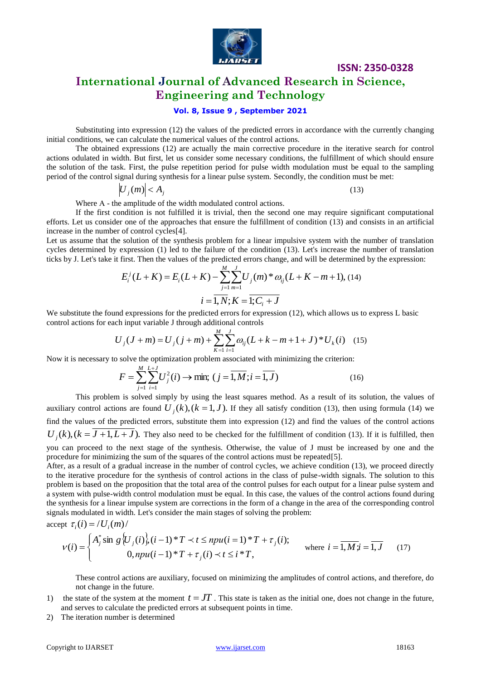

# **International Journal of Advanced Research in Science, Engineering and Technology**

### **Vol. 8, Issue 9 , September 2021**

Substituting into expression (12) the values of the predicted errors in accordance with the currently changing initial conditions, we can calculate the numerical values of the control actions.

The obtained expressions (12) are actually the main corrective procedure in the iterative search for control actions odulated in width. But first, let us consider some necessary conditions, the fulfillment of which should ensure the solution of the task. First, the pulse repetition period for pulse width modulation must be equal to the sampling period of the control signal during synthesis for a linear pulse system. Secondly, the condition must be met:

$$
\left|U_j(m)\right| < A_j \tag{13}
$$

Where А - the amplitude of the width modulated control actions.

If the first condition is not fulfilled it is trivial, then the second one may require significant computational efforts. Let us consider one of the approaches that ensure the fulfillment of condition (13) and consists in an artificial increase in the number of control cycles[4].

Let us assume that the solution of the synthesis problem for a linear impulsive system with the number of translation cycles determined by expression (1) led to the failure of the condition (13). Let's increase the number of translation ticks by J. Let's take it first. Then the values of the predicted errors change, and will be determined by the expression:

$$
E_i^j(L+K) = E_i(L+K) - \sum_{j=1}^M \sum_{m=1}^J U_j(m)^* \omega_{ij}(L+K-m+1), (14)
$$
  

$$
i = \overline{1, N}; K = \overline{1; C_i + J}
$$

We substitute the found expressions for the predicted errors for expression (12), which allows us to express L basic control actions for each input variable J through additional controls

$$
U_j(J+m) = U_j(j+m) + \sum_{k=1}^{M} \sum_{i=1}^{J} \omega_{ij}(L+k-m+1+J)^* U_k(i) \quad (15)
$$

Now it is necessary to solve the optimization problem associated with minimizing the criterion:

$$
F = \sum_{j=1}^{M} \sum_{i=1}^{L+J} U_j^2(i) \to \min; \ (j = \overline{1, M}; i = \overline{1, J})
$$
 (16)

This problem is solved simply by using the least squares method. As a result of its solution, the values of auxiliary control actions are found  $U_j(k)$ ,  $(k = 1, J)$ . If they all satisfy condition (13), then using formula (14) we find the values of the predicted errors, substitute them into expression (12) and find the values of the control actions  $U_j(k)$ ,  $(k = J + 1, L + J)$ . They also need to be checked for the fulfillment of condition (13). If it is fulfilled, then you can proceed to the next stage of the synthesis. Otherwise, the value of J must be increased by one and the procedure for minimizing the sum of the squares of the control actions must be repeated[5].

After, as a result of a gradual increase in the number of control cycles, we achieve condition (13), we proceed directly to the iterative procedure for the synthesis of control actions in the class of pulse-width signals. The solution to this problem is based on the proposition that the total area of the control pulses for each output for a linear pulse system and a system with pulse-width control modulation must be equal. In this case, the values of the control actions found during the synthesis for a linear impulse system are corrections in the form of a change in the area of the corresponding control signals modulated in width. Let's consider the main stages of solving the problem:

accept 
$$
\tau_i(i) = / U_i(m) /
$$

$$
V(i) = \begin{cases} A_j^* \sin g \left\{ U_j(i) \right\}, (i-1)^* T \prec t \leq npu(i=1)^* T + \tau_j(i); \\ 0, npu(i-1)^* T + \tau_j(i) \prec t \leq i^* T, \end{cases} \quad \text{where } i = \overline{1, M} \cdot \overline{i} = \overline{1, J} \quad (17)
$$

These control actions are auxiliary, focused on minimizing the amplitudes of control actions, and therefore, do not change in the future.

- 1) the state of the system at the moment  $t = JT$ . This state is taken as the initial one, does not change in the future, and serves to calculate the predicted errors at subsequent points in time.
- 2) The iteration number is determined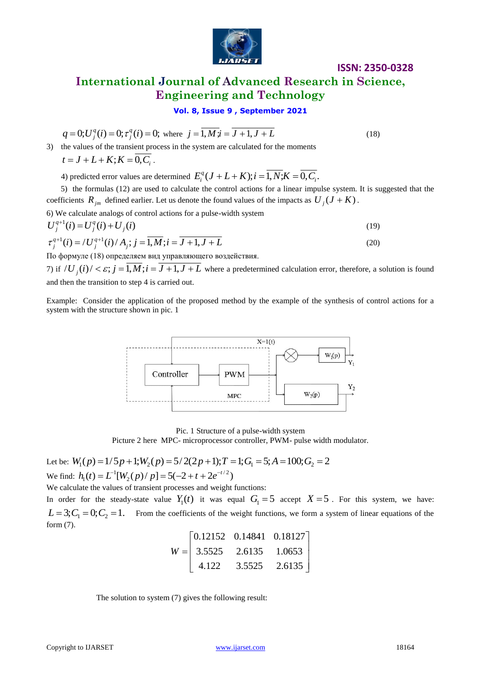

# **ISSN: 2350-0328 International Journal of Advanced Research in Science, Engineering and Technology**

**Vol. 8, Issue 9 , September 2021**

$$
q = 0; U_j^q(i) = 0; \tau_j^q(i) = 0; \text{ where } j = \overline{1, Mj} = \overline{J+1, J+L}
$$
 (18)

3) the values of the transient process in the system are calculated for the moments  $t = J + L + K$ ;  $K = 0, C_i$ .

4) predicted error values are determined  $E_i^q(J+L+K); i = \overline{1, N; K} = \overline{0, C_i}$ .

 5) the formulas (12) are used to calculate the control actions for a linear impulse system. It is suggested that the coefficients  $R_{jm}$  defined earlier. Let us denote the found values of the impacts as  $U_j(J+K)$ .

6) We calculate analogs of control actions for a pulse-width system

$$
U_j^{q+1}(i) = U_j^q(i) + U_j(i)
$$
\n(19)

$$
\tau_j^{q+1}(i) = /U_j^{q+1}(i) / A_j; j = \overline{1,M}; i = \overline{J+1, J+L}
$$
\n(20)

По формуле (18) определяем вид управляющего воздействия.

7) if  $\langle U_j(i) \rangle < \varepsilon$ ;  $j = 1, M$ ;  $i = J + 1, J + L$  where a predetermined calculation error, therefore, a solution is found and then the transition to step 4 is carried out.

Example: Consider the application of the proposed method by the example of the synthesis of control actions for a system with the structure shown in pic. 1



Pic. 1 Structure of a pulse-width system

Picture 2 here MPC- microprocessor controller, PWM- pulse width modulator.

Let be: 
$$
W_1(p) = 1/5p + 1; W_2(p) = 5/2(2p + 1); T = 1; G_1 = 5; A = 100; G_2 = 2
$$
  
We find:  $h_1(t) = L^{-1}[W_2(p)/p] = 5(-2 + t + 2e^{-t/2})$ 

We calculate the values of transient processes and weight functions:

In order for the steady-state value  $Y_1(t)$  it was equal  $G_1 = 5$  accept  $X = 5$ . For this system, we have:  $L = 3$ ;  $C_1 = 0$ ;  $C_2 = 1$ . From the coefficients of the weight functions, we form a system of linear equations of the form (7).

$$
W = \begin{bmatrix} 0.12152 & 0.14841 & 0.18127 \\ 3.5525 & 2.6135 & 1.0653 \\ 4.122 & 3.5525 & 2.6135 \end{bmatrix}
$$

The solution to system (7) gives the following result: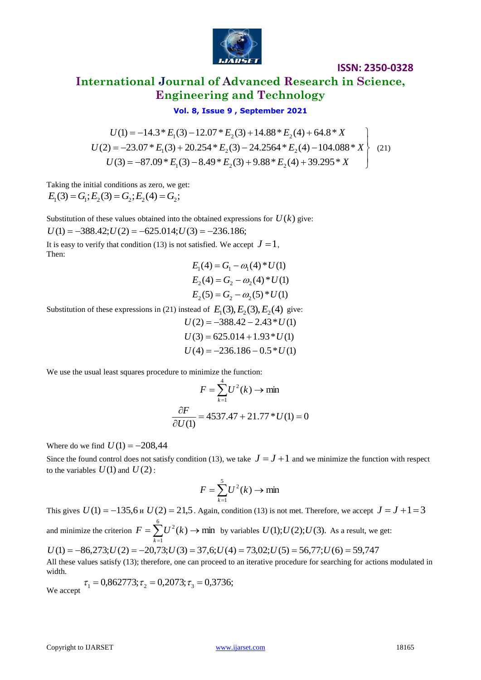

# **International Journal of Advanced Research in Science, Engineering and Technology**

## **Vol. 8, Issue 9 , September 2021**

$$
U(1) = -14.3 * E1(3) - 12.07 * E2(3) + 14.88 * E2(4) + 64.8 * X
$$
  
\n
$$
U(2) = -23.07 * E1(3) + 20.254 * E2(3) - 24.2564 * E2(4) - 104.088 * X
$$
  
\n
$$
U(3) = -87.09 * E1(3) - 8.49 * E2(3) + 9.88 * E2(4) + 39.295 * X
$$
\n(21)

Taking the initial conditions as zero, we get:  $E_1(3) = G_1$ ;  $E_2(3) = G_2$ ;  $E_2(4) = G_2$ ;

Substitution of these values obtained into the obtained expressions for  $U(k)$  give:  $U(1) = -388.42$ ; $U(2) = -625.014$ ; $U(3) = -236.186$ ;

It is easy to verify that condition (13) is not satisfied. We accept  $J = 1$ , Then:

$$
E_1(4) = G_1 - \omega_1(4) * U(1)
$$
  
\n
$$
E_2(4) = G_2 - \omega_2(4) * U(1)
$$
  
\n
$$
E_2(5) = G_2 - \omega_2(5) * U(1)
$$

Substitution of these expressions in (21) instead of  $E_1(3)$ ,  $E_2(3)$ ,  $E_2(4)$  give:

 $U(4) = -236.186 - 0.5*U(1)$  $U(3) = 625.014 + 1.93 * U(1)$  $U(2) = -388.42 - 2.43 \cdot U(1)$ 

We use the usual least squares procedure to minimize the function:

$$
F = \sum_{k=1}^{4} U^2(k) \to \min
$$
  

$$
\frac{\partial F}{\partial U(1)} = 4537.47 + 21.77 \cdot U(1) = 0
$$

Where do we find  $U(1) = -208,44$ 

Since the found control does not satisfy condition (13), we take  $J = J + 1$  and we minimize the function with respect to the variables  $U(1)$  and  $U(2)$ :

$$
F = \sum_{k=1}^{5} U^2(k) \to \min
$$

This gives  $U(1) = -135.6$  *u*  $U(2) = 21.5$ . Again, condition (13) is not met. Therefore, we accept  $J = J + 1 = 3$ and minimize the criterion  $F = \sum_{k=0}^{6} U^2(k) \rightarrow \text{min}$  $=\sum_{k=1}^{\infty}U^2(k)\rightarrow$  $\overline{a}$  $F = \sum U^2(k)$ *k* by variables  $U(1); U(2); U(3)$ . As a result, we get:  $U(1) = -86,273; U(2) = -20,73; U(3) = 37,6; U(4) = 73,02; U(5) = 56,77; U(6) = 59,747$ 

All these values satisfy (13); therefore, one can proceed to an iterative procedure for searching for actions modulated in width.

We accept  $\tau_1 = 0.862773; \tau_2 = 0.2073; \tau_3 = 0.3736;$